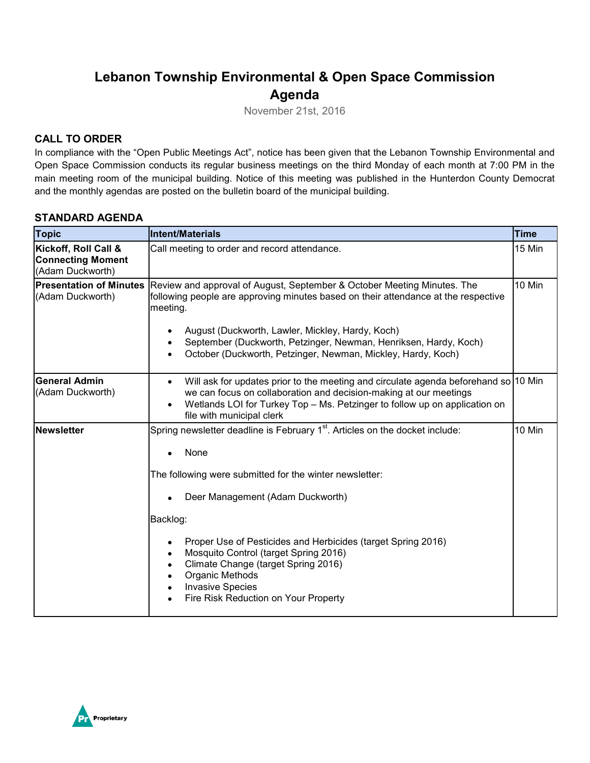# **Lebanon Township Environmental & Open Space Commission Agenda**

November 21st, 2016

## **CALL TO ORDER**

In compliance with the "Open Public Meetings Act", notice has been given that the Lebanon Township Environmental and Open Space Commission conducts its regular business meetings on the third Monday of each month at 7:00 PM in the main meeting room of the municipal building. Notice of this meeting was published in the Hunterdon County Democrat and the monthly agendas are posted on the bulletin board of the municipal building.

#### **STANDARD AGENDA**

| <b>Topic</b>                                                         | <b>Intent/Materials</b>                                                                                                                                                                                                                                                                                                                                                                                                                                                     | <b>Time</b> |
|----------------------------------------------------------------------|-----------------------------------------------------------------------------------------------------------------------------------------------------------------------------------------------------------------------------------------------------------------------------------------------------------------------------------------------------------------------------------------------------------------------------------------------------------------------------|-------------|
| Kickoff, Roll Call &<br><b>Connecting Moment</b><br>(Adam Duckworth) | Call meeting to order and record attendance.                                                                                                                                                                                                                                                                                                                                                                                                                                | 15 Min      |
| <b>Presentation of Minutes</b><br>(Adam Duckworth)                   | Review and approval of August, September & October Meeting Minutes. The<br>following people are approving minutes based on their attendance at the respective<br>meeting.<br>August (Duckworth, Lawler, Mickley, Hardy, Koch)<br>٠<br>September (Duckworth, Petzinger, Newman, Henriksen, Hardy, Koch)<br>$\bullet$<br>October (Duckworth, Petzinger, Newman, Mickley, Hardy, Koch)<br>$\bullet$                                                                            | 10 Min      |
| <b>General Admin</b><br>(Adam Duckworth)                             | Will ask for updates prior to the meeting and circulate agenda beforehand so 10 Min<br>$\bullet$<br>we can focus on collaboration and decision-making at our meetings<br>Wetlands LOI for Turkey Top - Ms. Petzinger to follow up on application on<br>$\bullet$<br>file with municipal clerk                                                                                                                                                                               |             |
| <b>Newsletter</b>                                                    | Spring newsletter deadline is February 1 <sup>st</sup> . Articles on the docket include:<br>None<br>The following were submitted for the winter newsletter:<br>Deer Management (Adam Duckworth)<br>Backlog:<br>Proper Use of Pesticides and Herbicides (target Spring 2016)<br>$\bullet$<br>Mosquito Control (target Spring 2016)<br>Climate Change (target Spring 2016)<br>Organic Methods<br><b>Invasive Species</b><br>$\bullet$<br>Fire Risk Reduction on Your Property | 10 Min      |

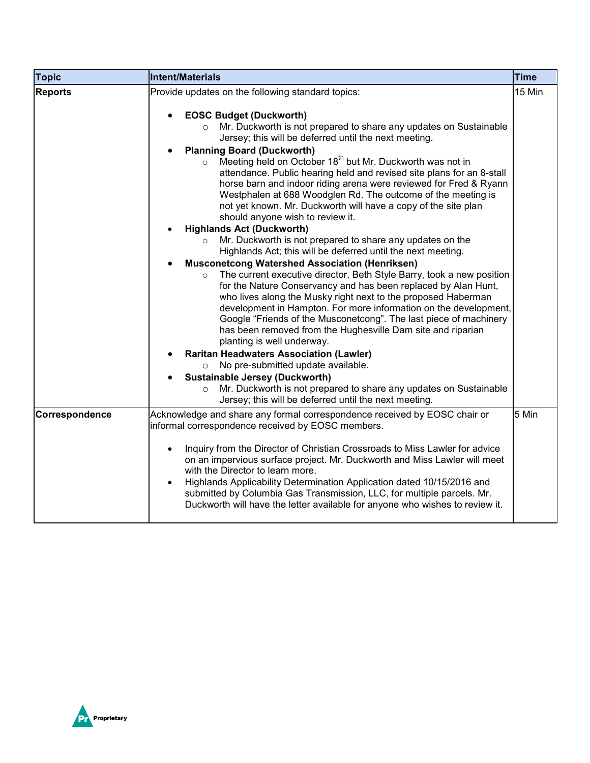| Topic          | <b>Intent/Materials</b>                                                                                                                                                                                                                                                                                                                                                                                                                                                                                                                                                                                                                                                                                                                                                                                                                                                                                                                                                                                                                                              | <b>Time</b> |
|----------------|----------------------------------------------------------------------------------------------------------------------------------------------------------------------------------------------------------------------------------------------------------------------------------------------------------------------------------------------------------------------------------------------------------------------------------------------------------------------------------------------------------------------------------------------------------------------------------------------------------------------------------------------------------------------------------------------------------------------------------------------------------------------------------------------------------------------------------------------------------------------------------------------------------------------------------------------------------------------------------------------------------------------------------------------------------------------|-------------|
| <b>Reports</b> | Provide updates on the following standard topics:<br><b>EOSC Budget (Duckworth)</b><br>Mr. Duckworth is not prepared to share any updates on Sustainable<br>$\circ$<br>Jersey; this will be deferred until the next meeting.<br><b>Planning Board (Duckworth)</b><br>Meeting held on October 18 <sup>th</sup> but Mr. Duckworth was not in<br>$\circ$<br>attendance. Public hearing held and revised site plans for an 8-stall<br>horse barn and indoor riding arena were reviewed for Fred & Ryann<br>Westphalen at 688 Woodglen Rd. The outcome of the meeting is<br>not yet known. Mr. Duckworth will have a copy of the site plan<br>should anyone wish to review it.<br><b>Highlands Act (Duckworth)</b><br>Mr. Duckworth is not prepared to share any updates on the<br>$\circ$<br>Highlands Act; this will be deferred until the next meeting.<br><b>Musconetcong Watershed Association (Henriksen)</b><br>The current executive director, Beth Style Barry, took a new position<br>$\circ$<br>for the Nature Conservancy and has been replaced by Alan Hunt, | 15 Min      |
|                | who lives along the Musky right next to the proposed Haberman<br>development in Hampton. For more information on the development,<br>Google "Friends of the Musconetcong". The last piece of machinery<br>has been removed from the Hughesville Dam site and riparian<br>planting is well underway.<br><b>Raritan Headwaters Association (Lawler)</b><br>No pre-submitted update available.<br>$\circ$<br><b>Sustainable Jersey (Duckworth)</b><br>Mr. Duckworth is not prepared to share any updates on Sustainable<br>$\circ$                                                                                                                                                                                                                                                                                                                                                                                                                                                                                                                                      |             |
| Correspondence | Jersey; this will be deferred until the next meeting.<br>Acknowledge and share any formal correspondence received by EOSC chair or<br>informal correspondence received by EOSC members.                                                                                                                                                                                                                                                                                                                                                                                                                                                                                                                                                                                                                                                                                                                                                                                                                                                                              | 5 Min       |
|                | Inquiry from the Director of Christian Crossroads to Miss Lawler for advice<br>$\bullet$<br>on an impervious surface project. Mr. Duckworth and Miss Lawler will meet<br>with the Director to learn more.<br>Highlands Applicability Determination Application dated 10/15/2016 and<br>submitted by Columbia Gas Transmission, LLC, for multiple parcels. Mr.<br>Duckworth will have the letter available for anyone who wishes to review it.                                                                                                                                                                                                                                                                                                                                                                                                                                                                                                                                                                                                                        |             |

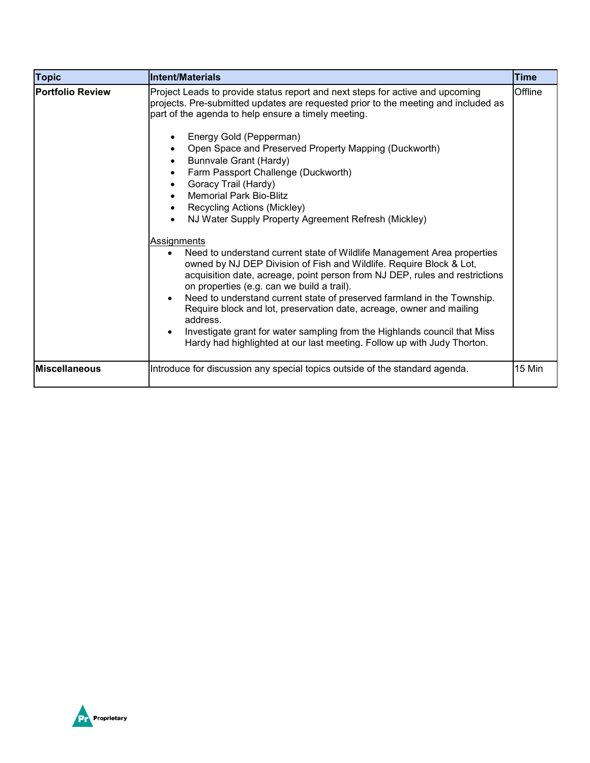| <b>Topic</b>            | <b>Intent/Materials</b>                                                                                                                                                                                                                                                                                                                                                                                                                                                                                                                                                                                                                                                                                                                                                                                                                                               | <b>Time</b> |
|-------------------------|-----------------------------------------------------------------------------------------------------------------------------------------------------------------------------------------------------------------------------------------------------------------------------------------------------------------------------------------------------------------------------------------------------------------------------------------------------------------------------------------------------------------------------------------------------------------------------------------------------------------------------------------------------------------------------------------------------------------------------------------------------------------------------------------------------------------------------------------------------------------------|-------------|
| <b>Portfolio Review</b> | Project Leads to provide status report and next steps for active and upcoming<br>projects. Pre-submitted updates are requested prior to the meeting and included as<br>part of the agenda to help ensure a timely meeting.<br>Energy Gold (Pepperman)<br>Open Space and Preserved Property Mapping (Duckworth)<br>$\bullet$<br>Bunnvale Grant (Hardy)<br>Farm Passport Challenge (Duckworth)<br>$\bullet$<br>Goracy Trail (Hardy)<br><b>Memorial Park Bio-Blitz</b><br>Recycling Actions (Mickley)<br>NJ Water Supply Property Agreement Refresh (Mickley)<br>Assignments<br>Need to understand current state of Wildlife Management Area properties<br>$\bullet$<br>owned by NJ DEP Division of Fish and Wildlife. Require Block & Lot,<br>acquisition date, acreage, point person from NJ DEP, rules and restrictions<br>on properties (e.g. can we build a trail). | Offline     |
|                         | Need to understand current state of preserved farmland in the Township.<br>$\bullet$<br>Require block and lot, preservation date, acreage, owner and mailing<br>address.                                                                                                                                                                                                                                                                                                                                                                                                                                                                                                                                                                                                                                                                                              |             |
|                         | Investigate grant for water sampling from the Highlands council that Miss<br>$\bullet$<br>Hardy had highlighted at our last meeting. Follow up with Judy Thorton.                                                                                                                                                                                                                                                                                                                                                                                                                                                                                                                                                                                                                                                                                                     |             |
| <b>Miscellaneous</b>    | Introduce for discussion any special topics outside of the standard agenda.                                                                                                                                                                                                                                                                                                                                                                                                                                                                                                                                                                                                                                                                                                                                                                                           | 15 Min      |

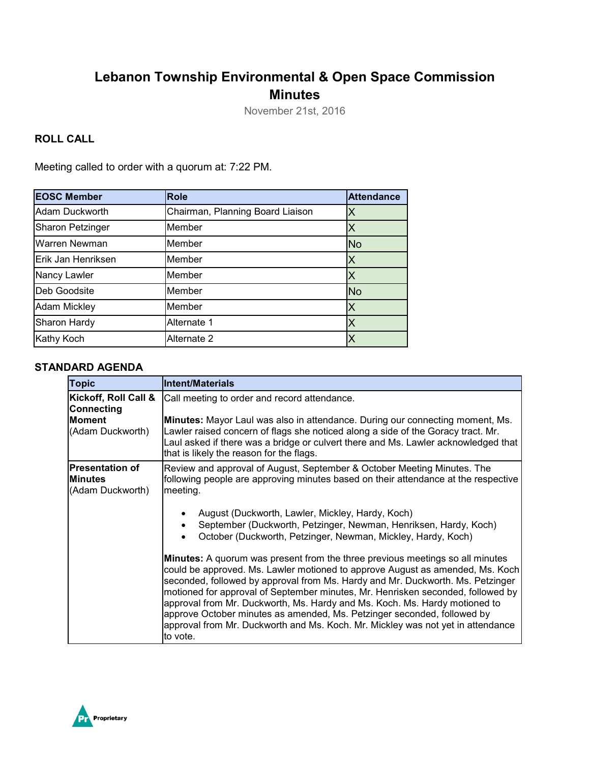# **Lebanon Township Environmental & Open Space Commission Minutes**

November 21st, 2016

### **ROLL CALL**

Meeting called to order with a quorum at: 7:22 PM.

| <b>EOSC Member</b>  | <b>Role</b>                      | <b>Attendance</b> |
|---------------------|----------------------------------|-------------------|
| Adam Duckworth      | Chairman, Planning Board Liaison |                   |
| Sharon Petzinger    | Member                           |                   |
| Warren Newman       | Member                           | <b>No</b>         |
| Erik Jan Henriksen  | Member                           | Х                 |
| Nancy Lawler        | Member                           |                   |
| Deb Goodsite        | Member                           | <b>No</b>         |
| <b>Adam Mickley</b> | Member                           | Χ                 |
| Sharon Hardy        | Alternate 1                      |                   |
| Kathy Koch          | Alternate 2                      |                   |

#### **STANDARD AGENDA**

| <b>Topic</b>                                                 | <b>Intent/Materials</b>                                                                                                                                                                                                                                                                                                                                                                                                                                                                                                                                                                     |
|--------------------------------------------------------------|---------------------------------------------------------------------------------------------------------------------------------------------------------------------------------------------------------------------------------------------------------------------------------------------------------------------------------------------------------------------------------------------------------------------------------------------------------------------------------------------------------------------------------------------------------------------------------------------|
| Kickoff, Roll Call &<br><b>Connecting</b>                    | Call meeting to order and record attendance.                                                                                                                                                                                                                                                                                                                                                                                                                                                                                                                                                |
| <b>Moment</b><br>(Adam Duckworth)                            | <b>Minutes:</b> Mayor Laul was also in attendance. During our connecting moment, Ms.<br>Lawler raised concern of flags she noticed along a side of the Goracy tract. Mr.<br>Laul asked if there was a bridge or culvert there and Ms. Lawler acknowledged that<br>that is likely the reason for the flags.                                                                                                                                                                                                                                                                                  |
| <b>Presentation of</b><br><b>Minutes</b><br>(Adam Duckworth) | Review and approval of August, September & October Meeting Minutes. The<br>following people are approving minutes based on their attendance at the respective<br>meeting.                                                                                                                                                                                                                                                                                                                                                                                                                   |
|                                                              | August (Duckworth, Lawler, Mickley, Hardy, Koch)<br>September (Duckworth, Petzinger, Newman, Henriksen, Hardy, Koch)<br>$\bullet$<br>October (Duckworth, Petzinger, Newman, Mickley, Hardy, Koch)                                                                                                                                                                                                                                                                                                                                                                                           |
|                                                              | Minutes: A quorum was present from the three previous meetings so all minutes<br>could be approved. Ms. Lawler motioned to approve August as amended, Ms. Koch<br>seconded, followed by approval from Ms. Hardy and Mr. Duckworth. Ms. Petzinger<br>motioned for approval of September minutes, Mr. Henrisken seconded, followed by<br>approval from Mr. Duckworth, Ms. Hardy and Ms. Koch. Ms. Hardy motioned to<br>approve October minutes as amended, Ms. Petzinger seconded, followed by<br>approval from Mr. Duckworth and Ms. Koch. Mr. Mickley was not yet in attendance<br>to vote. |

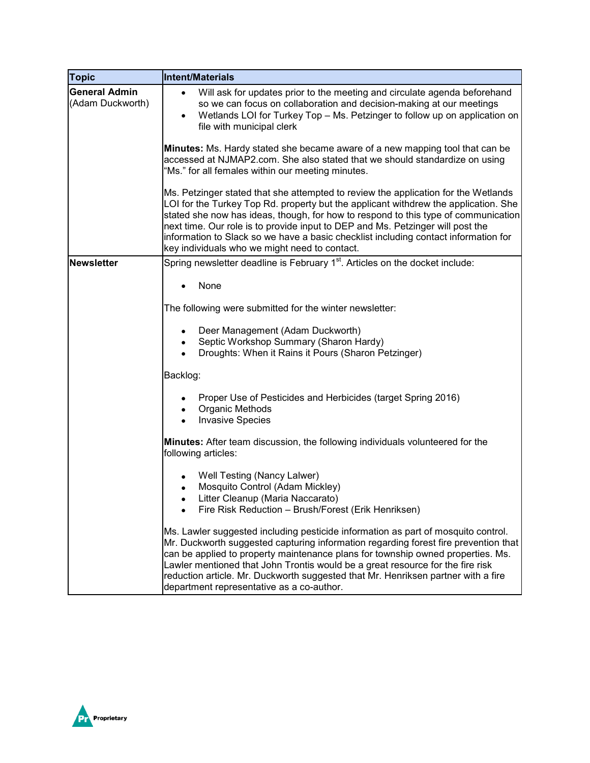| <b>Topic</b>                             | <b>Intent/Materials</b>                                                                                                                                                                                                                                                                                                                                                                                                                                                                   |
|------------------------------------------|-------------------------------------------------------------------------------------------------------------------------------------------------------------------------------------------------------------------------------------------------------------------------------------------------------------------------------------------------------------------------------------------------------------------------------------------------------------------------------------------|
| <b>General Admin</b><br>(Adam Duckworth) | Will ask for updates prior to the meeting and circulate agenda beforehand<br>$\bullet$<br>so we can focus on collaboration and decision-making at our meetings<br>Wetlands LOI for Turkey Top - Ms. Petzinger to follow up on application on<br>file with municipal clerk                                                                                                                                                                                                                 |
|                                          | Minutes: Ms. Hardy stated she became aware of a new mapping tool that can be<br>accessed at NJMAP2.com. She also stated that we should standardize on using<br>'Ms." for all females within our meeting minutes.                                                                                                                                                                                                                                                                          |
|                                          | Ms. Petzinger stated that she attempted to review the application for the Wetlands<br>LOI for the Turkey Top Rd. property but the applicant withdrew the application. She<br>stated she now has ideas, though, for how to respond to this type of communication<br>next time. Our role is to provide input to DEP and Ms. Petzinger will post the<br>information to Slack so we have a basic checklist including contact information for<br>key individuals who we might need to contact. |
| <b>Newsletter</b>                        | Spring newsletter deadline is February 1 <sup>st</sup> . Articles on the docket include:                                                                                                                                                                                                                                                                                                                                                                                                  |
|                                          | None                                                                                                                                                                                                                                                                                                                                                                                                                                                                                      |
|                                          | The following were submitted for the winter newsletter:                                                                                                                                                                                                                                                                                                                                                                                                                                   |
|                                          | Deer Management (Adam Duckworth)<br>Septic Workshop Summary (Sharon Hardy)<br>Droughts: When it Rains it Pours (Sharon Petzinger)                                                                                                                                                                                                                                                                                                                                                         |
|                                          | Backlog:                                                                                                                                                                                                                                                                                                                                                                                                                                                                                  |
|                                          | Proper Use of Pesticides and Herbicides (target Spring 2016)<br>Organic Methods<br>$\bullet$<br><b>Invasive Species</b>                                                                                                                                                                                                                                                                                                                                                                   |
|                                          | Minutes: After team discussion, the following individuals volunteered for the<br>following articles:                                                                                                                                                                                                                                                                                                                                                                                      |
|                                          | Well Testing (Nancy Lalwer)<br>Mosquito Control (Adam Mickley)<br>$\bullet$<br>Litter Cleanup (Maria Naccarato)<br>$\bullet$<br>Fire Risk Reduction - Brush/Forest (Erik Henriksen)                                                                                                                                                                                                                                                                                                       |
|                                          | Ms. Lawler suggested including pesticide information as part of mosquito control.<br>Mr. Duckworth suggested capturing information regarding forest fire prevention that<br>can be applied to property maintenance plans for township owned properties. Ms.<br>Lawler mentioned that John Trontis would be a great resource for the fire risk<br>reduction article. Mr. Duckworth suggested that Mr. Henriksen partner with a fire<br>department representative as a co-author.           |

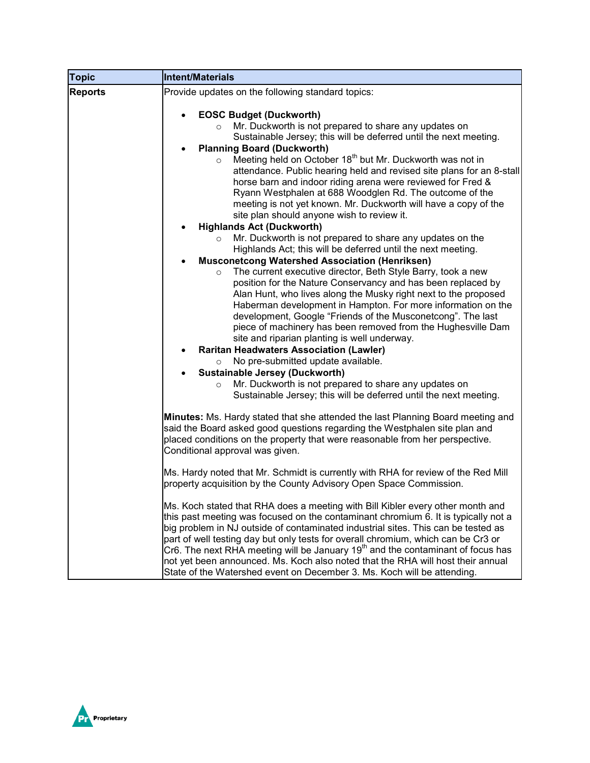| <b>Topic</b>   | <b>Intent/Materials</b>                                                                                                                                                                                                                                                                                                                                                                                                                                                                                                                                                                                              |
|----------------|----------------------------------------------------------------------------------------------------------------------------------------------------------------------------------------------------------------------------------------------------------------------------------------------------------------------------------------------------------------------------------------------------------------------------------------------------------------------------------------------------------------------------------------------------------------------------------------------------------------------|
| <b>Reports</b> | Provide updates on the following standard topics:                                                                                                                                                                                                                                                                                                                                                                                                                                                                                                                                                                    |
|                | <b>EOSC Budget (Duckworth)</b><br>Mr. Duckworth is not prepared to share any updates on<br>$\circ$<br>Sustainable Jersey; this will be deferred until the next meeting.<br><b>Planning Board (Duckworth)</b><br>Meeting held on October 18 <sup>th</sup> but Mr. Duckworth was not in<br>$\circ$<br>attendance. Public hearing held and revised site plans for an 8-stall<br>horse barn and indoor riding arena were reviewed for Fred &<br>Ryann Westphalen at 688 Woodglen Rd. The outcome of the<br>meeting is not yet known. Mr. Duckworth will have a copy of the<br>site plan should anyone wish to review it. |
|                | <b>Highlands Act (Duckworth)</b>                                                                                                                                                                                                                                                                                                                                                                                                                                                                                                                                                                                     |
|                | Mr. Duckworth is not prepared to share any updates on the<br>$\circ$<br>Highlands Act; this will be deferred until the next meeting.                                                                                                                                                                                                                                                                                                                                                                                                                                                                                 |
|                | <b>Musconetcong Watershed Association (Henriksen)</b>                                                                                                                                                                                                                                                                                                                                                                                                                                                                                                                                                                |
|                | The current executive director, Beth Style Barry, took a new<br>$\circ$<br>position for the Nature Conservancy and has been replaced by<br>Alan Hunt, who lives along the Musky right next to the proposed<br>Haberman development in Hampton. For more information on the<br>development, Google "Friends of the Musconetcong". The last<br>piece of machinery has been removed from the Hughesville Dam<br>site and riparian planting is well underway.<br><b>Raritan Headwaters Association (Lawler)</b><br>$\bullet$<br>No pre-submitted update available.<br>$\circ$<br><b>Sustainable Jersey (Duckworth)</b>   |
|                | Mr. Duckworth is not prepared to share any updates on<br>$\circ$<br>Sustainable Jersey; this will be deferred until the next meeting.                                                                                                                                                                                                                                                                                                                                                                                                                                                                                |
|                | Minutes: Ms. Hardy stated that she attended the last Planning Board meeting and<br>said the Board asked good questions regarding the Westphalen site plan and<br>placed conditions on the property that were reasonable from her perspective.<br>Conditional approval was given.                                                                                                                                                                                                                                                                                                                                     |
|                | Ms. Hardy noted that Mr. Schmidt is currently with RHA for review of the Red Mill<br>property acquisition by the County Advisory Open Space Commission.                                                                                                                                                                                                                                                                                                                                                                                                                                                              |
|                | Ms. Koch stated that RHA does a meeting with Bill Kibler every other month and<br>this past meeting was focused on the contaminant chromium 6. It is typically not a<br>big problem in NJ outside of contaminated industrial sites. This can be tested as<br>part of well testing day but only tests for overall chromium, which can be Cr3 or<br>Cr6. The next RHA meeting will be January $19th$ and the contaminant of focus has<br>not yet been announced. Ms. Koch also noted that the RHA will host their annual<br>State of the Watershed event on December 3. Ms. Koch will be attending.                    |

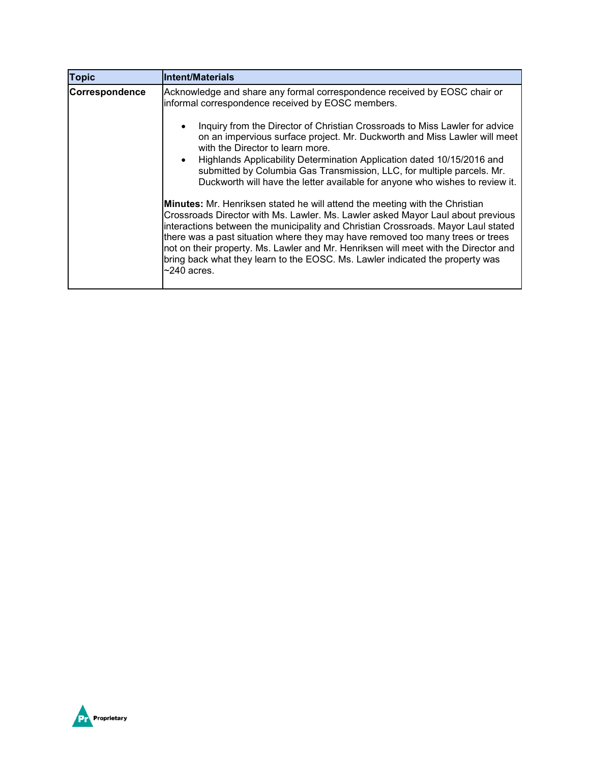| <b>Topic</b>          | <b>Intent/Materials</b>                                                                                                                                                                                                                                                                                                                                                                                                                                                                                                                   |
|-----------------------|-------------------------------------------------------------------------------------------------------------------------------------------------------------------------------------------------------------------------------------------------------------------------------------------------------------------------------------------------------------------------------------------------------------------------------------------------------------------------------------------------------------------------------------------|
| <b>Correspondence</b> | Acknowledge and share any formal correspondence received by EOSC chair or<br>informal correspondence received by EOSC members.                                                                                                                                                                                                                                                                                                                                                                                                            |
|                       | Inquiry from the Director of Christian Crossroads to Miss Lawler for advice<br>on an impervious surface project. Mr. Duckworth and Miss Lawler will meet<br>with the Director to learn more.                                                                                                                                                                                                                                                                                                                                              |
|                       | Highlands Applicability Determination Application dated 10/15/2016 and<br>submitted by Columbia Gas Transmission, LLC, for multiple parcels. Mr.<br>Duckworth will have the letter available for anyone who wishes to review it.                                                                                                                                                                                                                                                                                                          |
|                       | <b>Minutes:</b> Mr. Henriksen stated he will attend the meeting with the Christian<br>Crossroads Director with Ms. Lawler. Ms. Lawler asked Mayor Laul about previous<br>interactions between the municipality and Christian Crossroads. Mayor Laul stated<br>there was a past situation where they may have removed too many trees or trees<br>not on their property. Ms. Lawler and Mr. Henriksen will meet with the Director and<br>bring back what they learn to the EOSC. Ms. Lawler indicated the property was<br>$\sim$ 240 acres. |